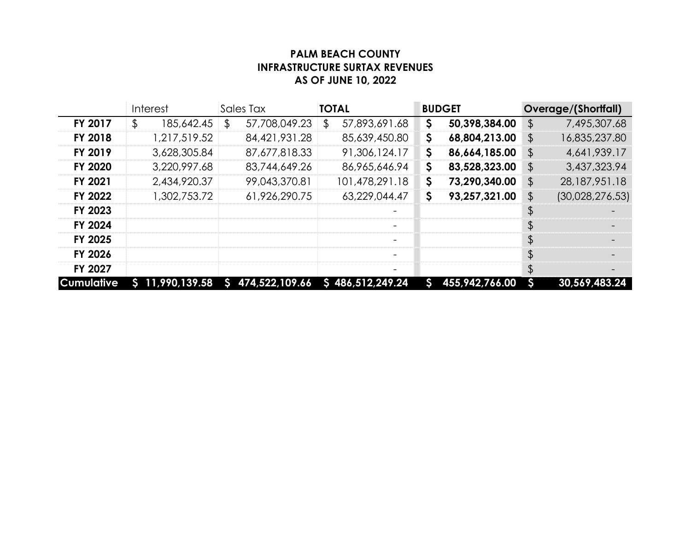## **PALM BEACH COUNTY INFRASTRUCTURE SURTAX REVENUES AS OF JUNE 10, 2022**

|                   | Interest            | Sales Tax           | <b>TOTAL</b>             | <b>BUDGET</b>        | Overage/(Shortfall)   |  |
|-------------------|---------------------|---------------------|--------------------------|----------------------|-----------------------|--|
| FY 2017           | 185,642.45<br>\$    | 57,708,049.23<br>\$ | 57,893,691.68<br>\$      | 50,398,384.00<br>\$  | 7,495,307.68<br>\$    |  |
| FY 2018           | 1,217,519.52        | 84,421,931.28       | 85,639,450.80            | \$<br>68,804,213.00  | 16,835,237.80<br>\$   |  |
| FY 2019           | 3,628,305.84        | 87,677,818.33       | 91,306,124.17            | \$<br>86,664,185.00  | 4,641,939.17<br>\$    |  |
| FY 2020           | 3,220,997.68        | 83,744,649.26       | 86,965,646.94            | 83,528,323.00<br>\$  | 3,437,323.94<br>\$    |  |
| <b>FY 2021</b>    | 2,434,920.37        | 99,043,370.81       | 101,478,291.18           | \$<br>73,290,340.00  | \$<br>28,187,951.18   |  |
| FY 2022           | 1,302,753.72        | 61,926,290.75       | 63,229,044.47            | \$<br>93,257,321.00  | (30,028,276.53)<br>\$ |  |
| FY 2023           |                     |                     |                          |                      | \$                    |  |
| FY 2024           |                     |                     |                          |                      | \$                    |  |
| FY 2025           |                     |                     | $\overline{\phantom{a}}$ |                      | \$                    |  |
| FY 2026           |                     |                     |                          |                      | \$                    |  |
| FY 2027           |                     |                     |                          |                      | \$                    |  |
| <b>Cumulative</b> | 11,990,139.58<br>S. | \$474,522,109.66    | \$486,512,249.24         | 455,942,766.00<br>S. | S<br>30,569,483.24    |  |